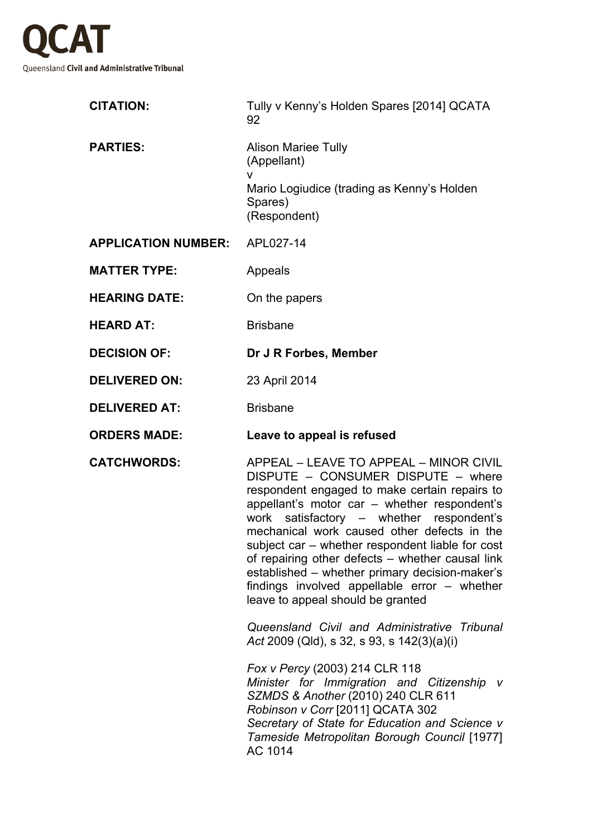

| <b>CITATION:</b>           | Tully v Kenny's Holden Spares [2014] QCATA<br>92                                                                                                                                                                                                                                                                                                                                                                                                                                                                        |
|----------------------------|-------------------------------------------------------------------------------------------------------------------------------------------------------------------------------------------------------------------------------------------------------------------------------------------------------------------------------------------------------------------------------------------------------------------------------------------------------------------------------------------------------------------------|
| <b>PARTIES:</b>            | <b>Alison Mariee Tully</b><br>(Appellant)<br>v<br>Mario Logiudice (trading as Kenny's Holden<br>Spares)<br>(Respondent)                                                                                                                                                                                                                                                                                                                                                                                                 |
| <b>APPLICATION NUMBER:</b> | APL027-14                                                                                                                                                                                                                                                                                                                                                                                                                                                                                                               |
| <b>MATTER TYPE:</b>        | Appeals                                                                                                                                                                                                                                                                                                                                                                                                                                                                                                                 |
| <b>HEARING DATE:</b>       | On the papers                                                                                                                                                                                                                                                                                                                                                                                                                                                                                                           |
| <b>HEARD AT:</b>           | <b>Brisbane</b>                                                                                                                                                                                                                                                                                                                                                                                                                                                                                                         |
| <b>DECISION OF:</b>        | Dr J R Forbes, Member                                                                                                                                                                                                                                                                                                                                                                                                                                                                                                   |
| <b>DELIVERED ON:</b>       | 23 April 2014                                                                                                                                                                                                                                                                                                                                                                                                                                                                                                           |
| <b>DELIVERED AT:</b>       | <b>Brisbane</b>                                                                                                                                                                                                                                                                                                                                                                                                                                                                                                         |
| <b>ORDERS MADE:</b>        | Leave to appeal is refused                                                                                                                                                                                                                                                                                                                                                                                                                                                                                              |
| <b>CATCHWORDS:</b>         | APPEAL - LEAVE TO APPEAL - MINOR CIVIL<br>DISPUTE - CONSUMER DISPUTE - where<br>respondent engaged to make certain repairs to<br>appellant's motor car - whether respondent's<br>work satisfactory - whether respondent's<br>mechanical work caused other defects in the<br>subject car – whether respondent liable for cost<br>of repairing other defects - whether causal link<br>established – whether primary decision-maker's<br>findings involved appellable error - whether<br>leave to appeal should be granted |
|                            | Queensland Civil and Administrative Tribunal<br>Act 2009 (Qld), s 32, s 93, s 142(3)(a)(i)                                                                                                                                                                                                                                                                                                                                                                                                                              |
|                            | Fox v Percy (2003) 214 CLR 118<br>Minister for Immigration and Citizenship v<br>SZMDS & Another (2010) 240 CLR 611<br>Robinson v Corr [2011] QCATA 302<br>Secretary of State for Education and Science v<br>Tameside Metropolitan Borough Council [1977]<br>AC 1014                                                                                                                                                                                                                                                     |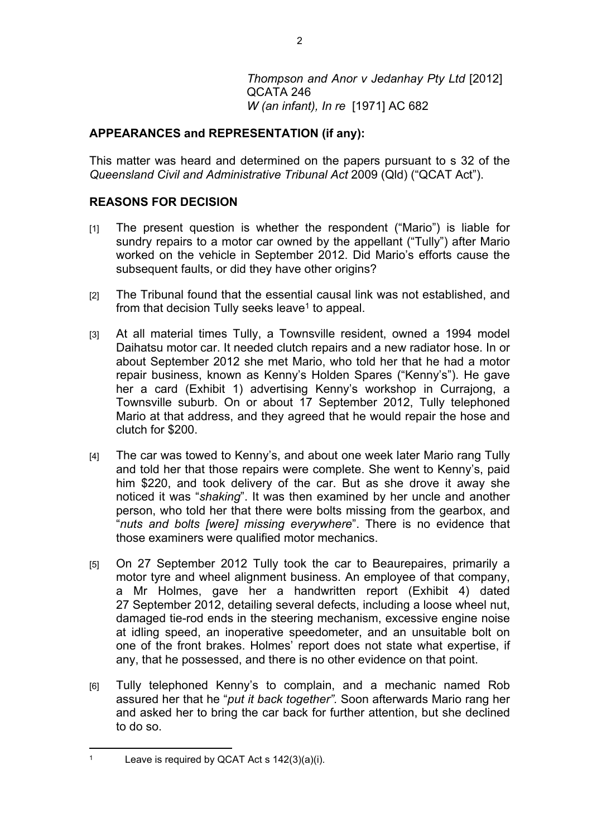*Thompson and Anor v Jedanhay Pty Ltd* [2012] QCATA 246 *W (an infant), In re* [1971] AC 682

## **APPEARANCES and REPRESENTATION (if any):**

This matter was heard and determined on the papers pursuant to s 32 of the *Queensland Civil and Administrative Tribunal Act* 2009 (Qld) ("QCAT Act").

## **REASONS FOR DECISION**

- [1] The present question is whether the respondent ("Mario") is liable for sundry repairs to a motor car owned by the appellant ("Tully") after Mario worked on the vehicle in September 2012. Did Mario's efforts cause the subsequent faults, or did they have other origins?
- [2] The Tribunal found that the essential causal link was not established, and from that decision Tully seeks leave<sup>1</sup> to appeal.
- [3] At all material times Tully, a Townsville resident, owned a 1994 model Daihatsu motor car. It needed clutch repairs and a new radiator hose. In or about September 2012 she met Mario, who told her that he had a motor repair business, known as Kenny's Holden Spares ("Kenny's"). He gave her a card (Exhibit 1) advertising Kenny's workshop in Currajong, a Townsville suburb. On or about 17 September 2012, Tully telephoned Mario at that address, and they agreed that he would repair the hose and clutch for \$200.
- [4] The car was towed to Kenny's, and about one week later Mario rang Tully and told her that those repairs were complete. She went to Kenny's, paid him \$220, and took delivery of the car. But as she drove it away she noticed it was "*shaking*". It was then examined by her uncle and another person, who told her that there were bolts missing from the gearbox, and "*nuts and bolts [were] missing everywhere*". There is no evidence that those examiners were qualified motor mechanics.
- [5] On 27 September 2012 Tully took the car to Beaurepaires, primarily a motor tyre and wheel alignment business. An employee of that company, a Mr Holmes, gave her a handwritten report (Exhibit 4) dated 27 September 2012, detailing several defects, including a loose wheel nut, damaged tie-rod ends in the steering mechanism, excessive engine noise at idling speed, an inoperative speedometer, and an unsuitable bolt on one of the front brakes. Holmes' report does not state what expertise, if any, that he possessed, and there is no other evidence on that point.
- [6] Tully telephoned Kenny's to complain, and a mechanic named Rob assured her that he "*put it back together".* Soon afterwards Mario rang her and asked her to bring the car back for further attention, but she declined to do so.

<sup>1</sup> Leave is required by QCAT Act s 142(3)(a)(i).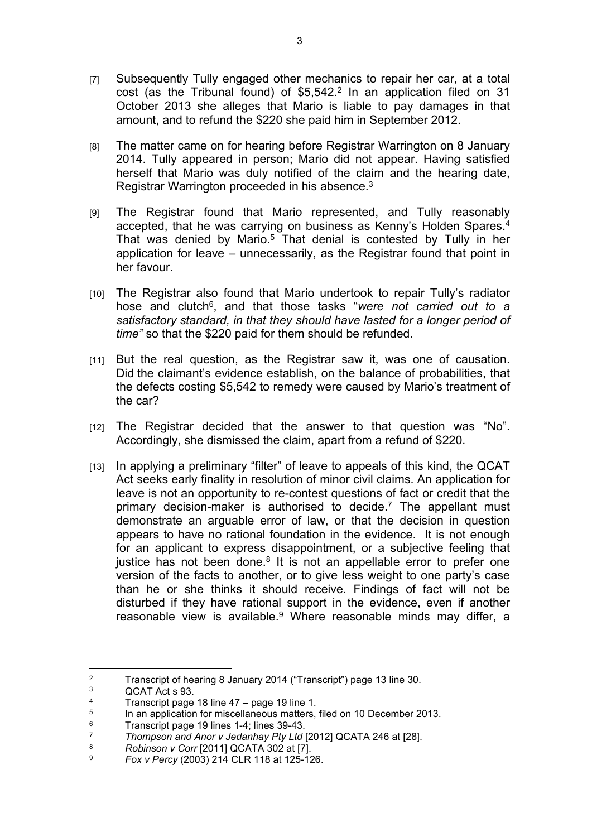- [7] Subsequently Tully engaged other mechanics to repair her car, at a total cost (as the Tribunal found) of  $$5,542<sup>2</sup>$  In an application filed on 31 October 2013 she alleges that Mario is liable to pay damages in that amount, and to refund the \$220 she paid him in September 2012.
- [8] The matter came on for hearing before Registrar Warrington on 8 January 2014. Tully appeared in person; Mario did not appear. Having satisfied herself that Mario was duly notified of the claim and the hearing date, Registrar Warrington proceeded in his absence.<sup>3</sup>
- [9] The Registrar found that Mario represented, and Tully reasonably accepted, that he was carrying on business as Kenny's Holden Spares.<sup>4</sup> That was denied by Mario.<sup>5</sup> That denial is contested by Tully in her application for leave – unnecessarily, as the Registrar found that point in her favour.
- [10] The Registrar also found that Mario undertook to repair Tully's radiator hose and clutch<sup>6</sup>, and that those tasks "were not carried out to a *satisfactory standard, in that they should have lasted for a longer period of time"* so that the \$220 paid for them should be refunded.
- [11] But the real question, as the Registrar saw it, was one of causation. Did the claimant's evidence establish, on the balance of probabilities, that the defects costing \$5,542 to remedy were caused by Mario's treatment of the car?
- [12] The Registrar decided that the answer to that question was "No". Accordingly, she dismissed the claim, apart from a refund of \$220.
- [13] In applying a preliminary "filter" of leave to appeals of this kind, the QCAT Act seeks early finality in resolution of minor civil claims. An application for leave is not an opportunity to re-contest questions of fact or credit that the primary decision-maker is authorised to decide.<sup>7</sup> The appellant must demonstrate an arguable error of law, or that the decision in question appears to have no rational foundation in the evidence. It is not enough for an applicant to express disappointment, or a subjective feeling that justice has not been done.<sup>8</sup> It is not an appellable error to prefer one version of the facts to another, or to give less weight to one party's case than he or she thinks it should receive. Findings of fact will not be disturbed if they have rational support in the evidence, even if another reasonable view is available.<sup>9</sup> Where reasonable minds may differ, a

<sup>2</sup> Transcript of hearing 8 January 2014 ("Transcript") page 13 line 30.

<sup>3</sup> QCAT Act s 93.

<sup>4</sup> Transcript page 18 line 47 – page 19 line 1.

<sup>5</sup> In an application for miscellaneous matters, filed on 10 December 2013.

<sup>6</sup>  $\frac{6}{7}$  Transcript page 19 lines 1-4; lines 39-43.

<sup>7</sup> *Thompson and Anor v Jedanhay Pty Ltd* [2012] QCATA 246 at [28].

<sup>8</sup> *Robinson v Corr* [2011] QCATA 302 at [7].

<sup>9</sup> *Fox v Percy* (2003) 214 CLR 118 at 125-126.